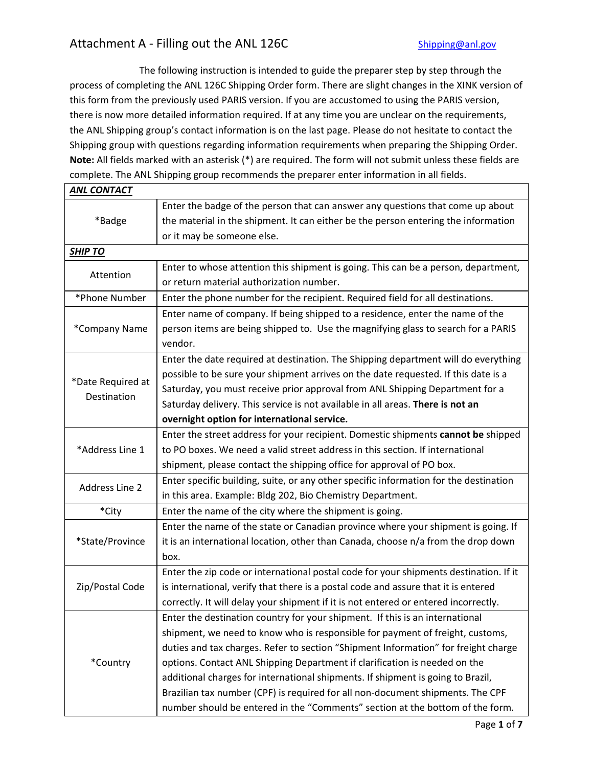## Attachment A - Filling out the ANL 126C Shipping@anl.gov

 The following instruction is intended to guide the preparer step by step through the process of completing the ANL 126C Shipping Order form. There are slight changes in the XINK version of this form from the previously used PARIS version. If you are accustomed to using the PARIS version, there is now more detailed information required. If at any time you are unclear on the requirements, the ANL Shipping group's contact information is on the last page. Please do not hesitate to contact the Shipping group with questions regarding information requirements when preparing the Shipping Order. Note: All fields marked with an asterisk (\*) are required. The form will not submit unless these fields are complete. The ANL Shipping group recommends the preparer enter information in all fields.

| <b>ANL CONTACT</b>               |                                                                                       |
|----------------------------------|---------------------------------------------------------------------------------------|
| *Badge                           | Enter the badge of the person that can answer any questions that come up about        |
|                                  | the material in the shipment. It can either be the person entering the information    |
|                                  | or it may be someone else.                                                            |
| <b>SHIP TO</b>                   |                                                                                       |
| Attention                        | Enter to whose attention this shipment is going. This can be a person, department,    |
|                                  | or return material authorization number.                                              |
| *Phone Number                    | Enter the phone number for the recipient. Required field for all destinations.        |
|                                  | Enter name of company. If being shipped to a residence, enter the name of the         |
| *Company Name                    | person items are being shipped to. Use the magnifying glass to search for a PARIS     |
|                                  | vendor.                                                                               |
|                                  | Enter the date required at destination. The Shipping department will do everything    |
|                                  | possible to be sure your shipment arrives on the date requested. If this date is a    |
| *Date Required at<br>Destination | Saturday, you must receive prior approval from ANL Shipping Department for a          |
|                                  | Saturday delivery. This service is not available in all areas. There is not an        |
|                                  | overnight option for international service.                                           |
|                                  | Enter the street address for your recipient. Domestic shipments cannot be shipped     |
| *Address Line 1                  | to PO boxes. We need a valid street address in this section. If international         |
|                                  | shipment, please contact the shipping office for approval of PO box.                  |
|                                  | Enter specific building, suite, or any other specific information for the destination |
| <b>Address Line 2</b>            | in this area. Example: Bldg 202, Bio Chemistry Department.                            |
| *City                            | Enter the name of the city where the shipment is going.                               |
|                                  | Enter the name of the state or Canadian province where your shipment is going. If     |
| *State/Province                  | it is an international location, other than Canada, choose n/a from the drop down     |
|                                  | box.                                                                                  |
|                                  | Enter the zip code or international postal code for your shipments destination. If it |
| Zip/Postal Code                  | is international, verify that there is a postal code and assure that it is entered    |
|                                  | correctly. It will delay your shipment if it is not entered or entered incorrectly.   |
| *Country                         | Enter the destination country for your shipment. If this is an international          |
|                                  | shipment, we need to know who is responsible for payment of freight, customs,         |
|                                  | duties and tax charges. Refer to section "Shipment Information" for freight charge    |
|                                  | options. Contact ANL Shipping Department if clarification is needed on the            |
|                                  | additional charges for international shipments. If shipment is going to Brazil,       |
|                                  | Brazilian tax number (CPF) is required for all non-document shipments. The CPF        |
|                                  | number should be entered in the "Comments" section at the bottom of the form.         |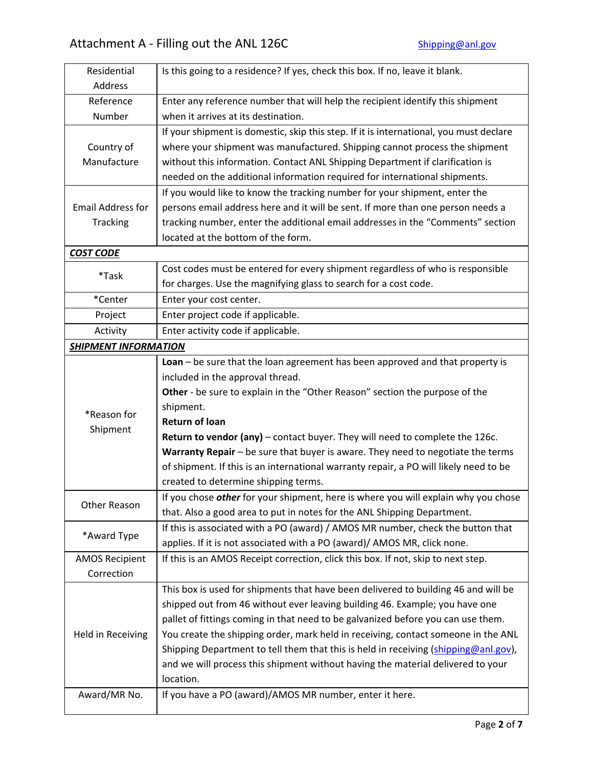| Residential<br>Address      | Is this going to a residence? If yes, check this box. If no, leave it blank.              |
|-----------------------------|-------------------------------------------------------------------------------------------|
| Reference                   | Enter any reference number that will help the recipient identify this shipment            |
| Number                      | when it arrives at its destination.                                                       |
|                             | If your shipment is domestic, skip this step. If it is international, you must declare    |
| Country of                  | where your shipment was manufactured. Shipping cannot process the shipment                |
| Manufacture                 | without this information. Contact ANL Shipping Department if clarification is             |
|                             | needed on the additional information required for international shipments.                |
|                             | If you would like to know the tracking number for your shipment, enter the                |
| <b>Email Address for</b>    | persons email address here and it will be sent. If more than one person needs a           |
| Tracking                    | tracking number, enter the additional email addresses in the "Comments" section           |
|                             | located at the bottom of the form.                                                        |
| <b>COST CODE</b>            |                                                                                           |
|                             | Cost codes must be entered for every shipment regardless of who is responsible            |
| *Task                       | for charges. Use the magnifying glass to search for a cost code.                          |
| *Center                     | Enter your cost center.                                                                   |
| Project                     | Enter project code if applicable.                                                         |
| Activity                    | Enter activity code if applicable.                                                        |
| <b>SHIPMENT INFORMATION</b> |                                                                                           |
|                             | Loan - be sure that the loan agreement has been approved and that property is             |
|                             | included in the approval thread.                                                          |
|                             | Other - be sure to explain in the "Other Reason" section the purpose of the               |
|                             | shipment.                                                                                 |
| *Reason for                 | <b>Return of loan</b>                                                                     |
| Shipment                    | Return to vendor (any) - contact buyer. They will need to complete the 126c.              |
|                             | Warranty Repair - be sure that buyer is aware. They need to negotiate the terms           |
|                             | of shipment. If this is an international warranty repair, a PO will likely need to be     |
|                             | created to determine shipping terms.                                                      |
| Other Reason                | If you chose <b>other</b> for your shipment, here is where you will explain why you chose |
|                             | that. Also a good area to put in notes for the ANL Shipping Department.                   |
|                             | If this is associated with a PO (award) / AMOS MR number, check the button that           |
| *Award Type                 | applies. If it is not associated with a PO (award)/ AMOS MR, click none.                  |
| <b>AMOS Recipient</b>       | If this is an AMOS Receipt correction, click this box. If not, skip to next step.         |
| Correction                  |                                                                                           |
|                             | This box is used for shipments that have been delivered to building 46 and will be        |
|                             | shipped out from 46 without ever leaving building 46. Example; you have one               |
| Held in Receiving           | pallet of fittings coming in that need to be galvanized before you can use them.          |
|                             | You create the shipping order, mark held in receiving, contact someone in the ANL         |
|                             | Shipping Department to tell them that this is held in receiving (shipping@anl.gov),       |
|                             | and we will process this shipment without having the material delivered to your           |
|                             | location.                                                                                 |
| Award/MR No.                | If you have a PO (award)/AMOS MR number, enter it here.                                   |
|                             |                                                                                           |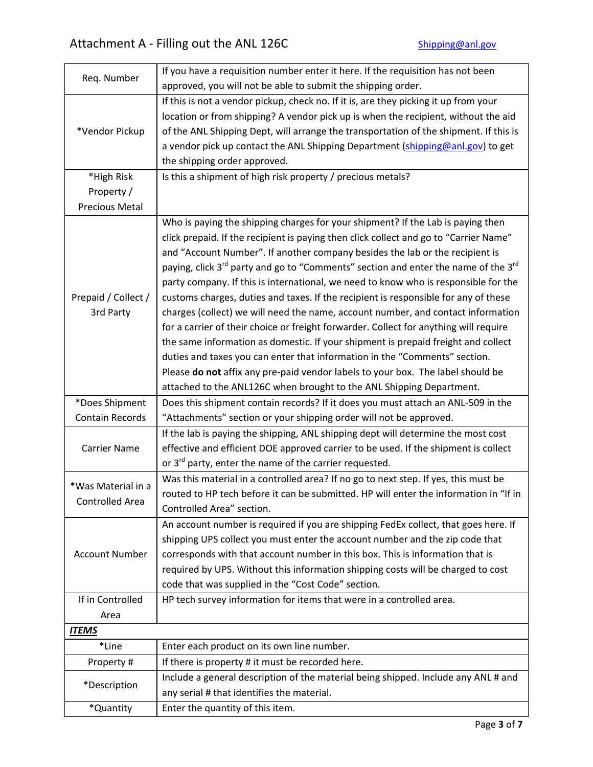| Req. Number            | If you have a requisition number enter it here. If the requisition has not been<br>approved, you will not be able to submit the shipping order. |
|------------------------|-------------------------------------------------------------------------------------------------------------------------------------------------|
|                        |                                                                                                                                                 |
|                        | If this is not a vendor pickup, check no. If it is, are they picking it up from your                                                            |
|                        | location or from shipping? A vendor pick up is when the recipient, without the aid                                                              |
| *Vendor Pickup         | of the ANL Shipping Dept, will arrange the transportation of the shipment. If this is                                                           |
|                        | a vendor pick up contact the ANL Shipping Department (shipping@anl.gov) to get                                                                  |
|                        | the shipping order approved.                                                                                                                    |
| *High Risk             | Is this a shipment of high risk property / precious metals?                                                                                     |
| Property /             |                                                                                                                                                 |
| Precious Metal         |                                                                                                                                                 |
|                        | Who is paying the shipping charges for your shipment? If the Lab is paying then                                                                 |
|                        | click prepaid. If the recipient is paying then click collect and go to "Carrier Name"                                                           |
|                        | and "Account Number". If another company besides the lab or the recipient is                                                                    |
|                        | paying, click 3 <sup>rd</sup> party and go to "Comments" section and enter the name of the 3 <sup>rd</sup>                                      |
|                        | party company. If this is international, we need to know who is responsible for the                                                             |
| Prepaid / Collect /    | customs charges, duties and taxes. If the recipient is responsible for any of these                                                             |
| 3rd Party              | charges (collect) we will need the name, account number, and contact information                                                                |
|                        |                                                                                                                                                 |
|                        | for a carrier of their choice or freight forwarder. Collect for anything will require                                                           |
|                        | the same information as domestic. If your shipment is prepaid freight and collect                                                               |
|                        | duties and taxes you can enter that information in the "Comments" section.                                                                      |
|                        | Please do not affix any pre-paid vendor labels to your box. The label should be                                                                 |
|                        | attached to the ANL126C when brought to the ANL Shipping Department.                                                                            |
| *Does Shipment         | Does this shipment contain records? If it does you must attach an ANL-509 in the                                                                |
| <b>Contain Records</b> | "Attachments" section or your shipping order will not be approved.                                                                              |
|                        | If the lab is paying the shipping, ANL shipping dept will determine the most cost                                                               |
| <b>Carrier Name</b>    | effective and efficient DOE approved carrier to be used. If the shipment is collect                                                             |
|                        | or 3 <sup>rd</sup> party, enter the name of the carrier requested.                                                                              |
|                        | Was this material in a controlled area? If no go to next step. If yes, this must be                                                             |
| *Was Material in a     | routed to HP tech before it can be submitted. HP will enter the information in "If in                                                           |
| <b>Controlled Area</b> | Controlled Area" section.                                                                                                                       |
|                        | An account number is required if you are shipping FedEx collect, that goes here. If                                                             |
|                        | shipping UPS collect you must enter the account number and the zip code that                                                                    |
| <b>Account Number</b>  | corresponds with that account number in this box. This is information that is                                                                   |
|                        | required by UPS. Without this information shipping costs will be charged to cost                                                                |
|                        | code that was supplied in the "Cost Code" section.                                                                                              |
| If in Controlled       | HP tech survey information for items that were in a controlled area.                                                                            |
| Area                   |                                                                                                                                                 |
| <b>ITEMS</b>           |                                                                                                                                                 |
| *Line                  | Enter each product on its own line number.                                                                                                      |
| Property #             | If there is property # it must be recorded here.                                                                                                |
|                        | Include a general description of the material being shipped. Include any ANL # and                                                              |
| *Description           | any serial # that identifies the material.                                                                                                      |
| *Quantity              | Enter the quantity of this item.                                                                                                                |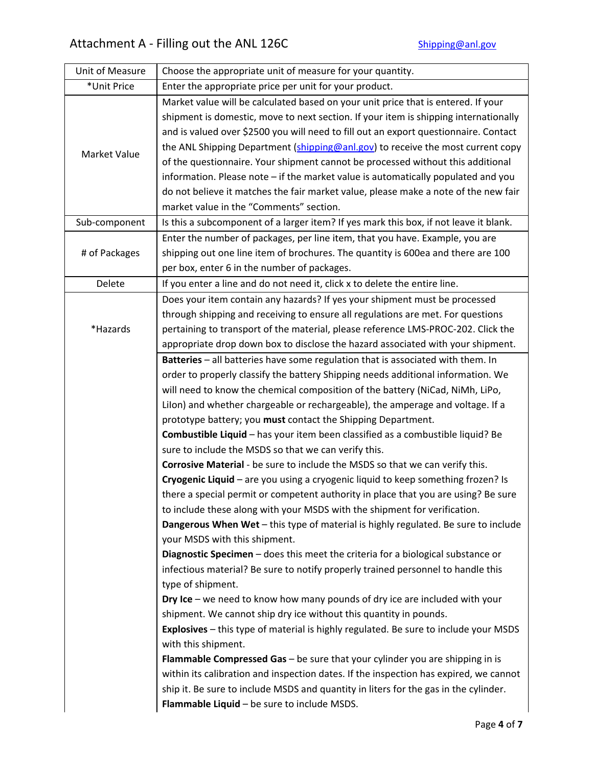| Unit of Measure | Choose the appropriate unit of measure for your quantity.                                                                                                                      |
|-----------------|--------------------------------------------------------------------------------------------------------------------------------------------------------------------------------|
| *Unit Price     | Enter the appropriate price per unit for your product.                                                                                                                         |
| Market Value    | Market value will be calculated based on your unit price that is entered. If your                                                                                              |
|                 | shipment is domestic, move to next section. If your item is shipping internationally                                                                                           |
|                 | and is valued over \$2500 you will need to fill out an export questionnaire. Contact                                                                                           |
|                 | the ANL Shipping Department (shipping@anl.gov) to receive the most current copy                                                                                                |
|                 | of the questionnaire. Your shipment cannot be processed without this additional                                                                                                |
|                 | information. Please note - if the market value is automatically populated and you                                                                                              |
|                 | do not believe it matches the fair market value, please make a note of the new fair                                                                                            |
|                 | market value in the "Comments" section.                                                                                                                                        |
| Sub-component   | Is this a subcomponent of a larger item? If yes mark this box, if not leave it blank.                                                                                          |
|                 | Enter the number of packages, per line item, that you have. Example, you are                                                                                                   |
| # of Packages   | shipping out one line item of brochures. The quantity is 600ea and there are 100                                                                                               |
|                 | per box, enter 6 in the number of packages.                                                                                                                                    |
| Delete          | If you enter a line and do not need it, click x to delete the entire line.                                                                                                     |
|                 | Does your item contain any hazards? If yes your shipment must be processed                                                                                                     |
|                 | through shipping and receiving to ensure all regulations are met. For questions                                                                                                |
| *Hazards        | pertaining to transport of the material, please reference LMS-PROC-202. Click the                                                                                              |
|                 | appropriate drop down box to disclose the hazard associated with your shipment.                                                                                                |
|                 | Batteries - all batteries have some regulation that is associated with them. In                                                                                                |
|                 | order to properly classify the battery Shipping needs additional information. We                                                                                               |
|                 | will need to know the chemical composition of the battery (NiCad, NiMh, LiPo,                                                                                                  |
|                 | Lilon) and whether chargeable or rechargeable), the amperage and voltage. If a                                                                                                 |
|                 | prototype battery; you must contact the Shipping Department.                                                                                                                   |
|                 | Combustible Liquid - has your item been classified as a combustible liquid? Be                                                                                                 |
|                 | sure to include the MSDS so that we can verify this.                                                                                                                           |
|                 | Corrosive Material - be sure to include the MSDS so that we can verify this.                                                                                                   |
|                 | Cryogenic Liquid - are you using a cryogenic liquid to keep something frozen? Is                                                                                               |
|                 | there a special permit or competent authority in place that you are using? Be sure                                                                                             |
|                 | to include these along with your MSDS with the shipment for verification.                                                                                                      |
|                 | Dangerous When Wet - this type of material is highly regulated. Be sure to include                                                                                             |
|                 | your MSDS with this shipment.                                                                                                                                                  |
|                 | Diagnostic Specimen - does this meet the criteria for a biological substance or                                                                                                |
|                 | infectious material? Be sure to notify properly trained personnel to handle this                                                                                               |
|                 | type of shipment.                                                                                                                                                              |
|                 | Dry Ice – we need to know how many pounds of dry ice are included with your                                                                                                    |
|                 | shipment. We cannot ship dry ice without this quantity in pounds.                                                                                                              |
|                 | Explosives - this type of material is highly regulated. Be sure to include your MSDS                                                                                           |
|                 | with this shipment.                                                                                                                                                            |
|                 | <b>Flammable Compressed Gas</b> $-$ be sure that your cylinder you are shipping in is<br>within its calibration and inspection dates. If the inspection has expired, we cannot |
|                 | ship it. Be sure to include MSDS and quantity in liters for the gas in the cylinder.                                                                                           |
|                 | Flammable Liquid - be sure to include MSDS.                                                                                                                                    |
|                 |                                                                                                                                                                                |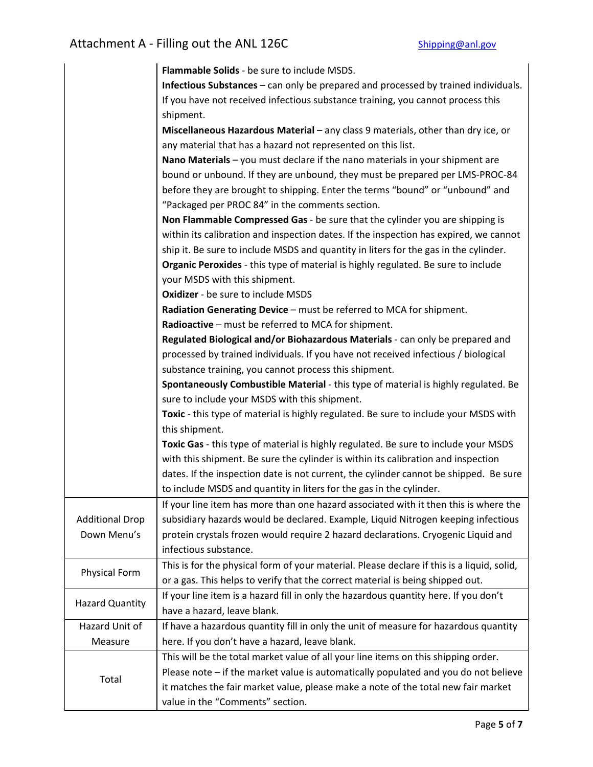|                        | Flammable Solids - be sure to include MSDS.                                                |
|------------------------|--------------------------------------------------------------------------------------------|
|                        | Infectious Substances - can only be prepared and processed by trained individuals.         |
|                        | If you have not received infectious substance training, you cannot process this            |
|                        | shipment.                                                                                  |
|                        | Miscellaneous Hazardous Material - any class 9 materials, other than dry ice, or           |
|                        | any material that has a hazard not represented on this list.                               |
|                        | Nano Materials - you must declare if the nano materials in your shipment are               |
|                        | bound or unbound. If they are unbound, they must be prepared per LMS-PROC-84               |
|                        | before they are brought to shipping. Enter the terms "bound" or "unbound" and              |
|                        | "Packaged per PROC 84" in the comments section.                                            |
|                        | Non Flammable Compressed Gas - be sure that the cylinder you are shipping is               |
|                        | within its calibration and inspection dates. If the inspection has expired, we cannot      |
|                        | ship it. Be sure to include MSDS and quantity in liters for the gas in the cylinder.       |
|                        | Organic Peroxides - this type of material is highly regulated. Be sure to include          |
|                        | your MSDS with this shipment.                                                              |
|                        | Oxidizer - be sure to include MSDS                                                         |
|                        | Radiation Generating Device - must be referred to MCA for shipment.                        |
|                        | Radioactive - must be referred to MCA for shipment.                                        |
|                        | Regulated Biological and/or Biohazardous Materials - can only be prepared and              |
|                        | processed by trained individuals. If you have not received infectious / biological         |
|                        | substance training, you cannot process this shipment.                                      |
|                        | Spontaneously Combustible Material - this type of material is highly regulated. Be         |
|                        | sure to include your MSDS with this shipment.                                              |
|                        | Toxic - this type of material is highly regulated. Be sure to include your MSDS with       |
|                        | this shipment.                                                                             |
|                        | Toxic Gas - this type of material is highly regulated. Be sure to include your MSDS        |
|                        | with this shipment. Be sure the cylinder is within its calibration and inspection          |
|                        | dates. If the inspection date is not current, the cylinder cannot be shipped. Be sure      |
|                        | to include MSDS and quantity in liters for the gas in the cylinder.                        |
|                        | If your line item has more than one hazard associated with it then this is where the       |
| <b>Additional Drop</b> | subsidiary hazards would be declared. Example, Liquid Nitrogen keeping infectious          |
| Down Menu's            | protein crystals frozen would require 2 hazard declarations. Cryogenic Liquid and          |
|                        | infectious substance.                                                                      |
|                        | This is for the physical form of your material. Please declare if this is a liquid, solid, |
| <b>Physical Form</b>   | or a gas. This helps to verify that the correct material is being shipped out.             |
|                        | If your line item is a hazard fill in only the hazardous quantity here. If you don't       |
| <b>Hazard Quantity</b> | have a hazard, leave blank.                                                                |
| Hazard Unit of         | If have a hazardous quantity fill in only the unit of measure for hazardous quantity       |
| Measure                | here. If you don't have a hazard, leave blank.                                             |
|                        | This will be the total market value of all your line items on this shipping order.         |
| Total                  | Please note - if the market value is automatically populated and you do not believe        |
|                        | it matches the fair market value, please make a note of the total new fair market          |
|                        | value in the "Comments" section.                                                           |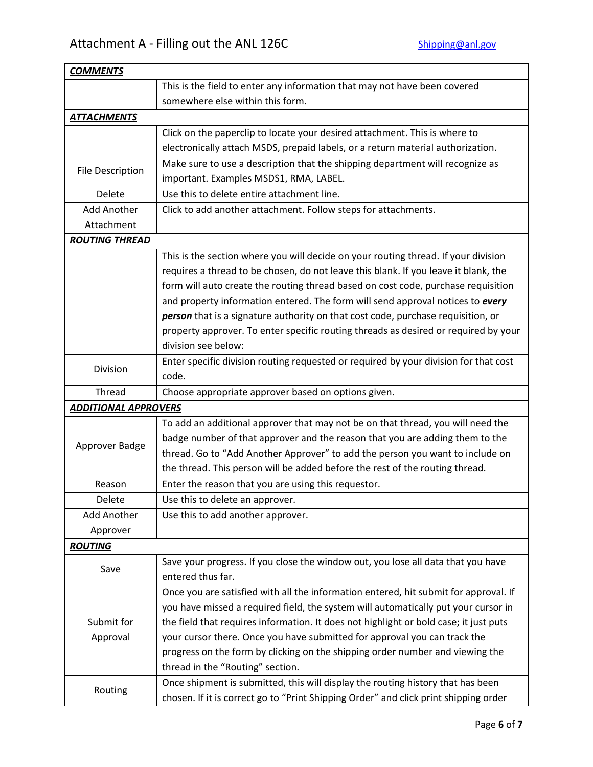| <b>COMMENTS</b>             |                                                                                       |
|-----------------------------|---------------------------------------------------------------------------------------|
|                             | This is the field to enter any information that may not have been covered             |
|                             | somewhere else within this form.                                                      |
| <b>ATTACHMENTS</b>          |                                                                                       |
|                             | Click on the paperclip to locate your desired attachment. This is where to            |
|                             | electronically attach MSDS, prepaid labels, or a return material authorization.       |
|                             | Make sure to use a description that the shipping department will recognize as         |
| <b>File Description</b>     | important. Examples MSDS1, RMA, LABEL.                                                |
| Delete                      | Use this to delete entire attachment line.                                            |
| Add Another                 | Click to add another attachment. Follow steps for attachments.                        |
| Attachment                  |                                                                                       |
| <b>ROUTING THREAD</b>       |                                                                                       |
|                             | This is the section where you will decide on your routing thread. If your division    |
|                             | requires a thread to be chosen, do not leave this blank. If you leave it blank, the   |
|                             | form will auto create the routing thread based on cost code, purchase requisition     |
|                             | and property information entered. The form will send approval notices to every        |
|                             | person that is a signature authority on that cost code, purchase requisition, or      |
|                             | property approver. To enter specific routing threads as desired or required by your   |
|                             | division see below:                                                                   |
|                             | Enter specific division routing requested or required by your division for that cost  |
| <b>Division</b>             | code.                                                                                 |
| Thread                      | Choose appropriate approver based on options given.                                   |
| <b>ADDITIONAL APPROVERS</b> |                                                                                       |
|                             | To add an additional approver that may not be on that thread, you will need the       |
| Approver Badge              | badge number of that approver and the reason that you are adding them to the          |
|                             | thread. Go to "Add Another Approver" to add the person you want to include on         |
|                             | the thread. This person will be added before the rest of the routing thread.          |
| Reason                      | Enter the reason that you are using this requestor.                                   |
| Delete                      | Use this to delete an approver.                                                       |
| Add Another                 | Use this to add another approver.                                                     |
| Approver                    |                                                                                       |
| <b>ROUTING</b>              |                                                                                       |
|                             | Save your progress. If you close the window out, you lose all data that you have      |
| Save                        | entered thus far.                                                                     |
|                             | Once you are satisfied with all the information entered, hit submit for approval. If  |
|                             | you have missed a required field, the system will automatically put your cursor in    |
| Submit for                  | the field that requires information. It does not highlight or bold case; it just puts |
| Approval                    | your cursor there. Once you have submitted for approval you can track the             |
|                             | progress on the form by clicking on the shipping order number and viewing the         |
|                             | thread in the "Routing" section.                                                      |
| Routing                     | Once shipment is submitted, this will display the routing history that has been       |
|                             | chosen. If it is correct go to "Print Shipping Order" and click print shipping order  |
|                             |                                                                                       |